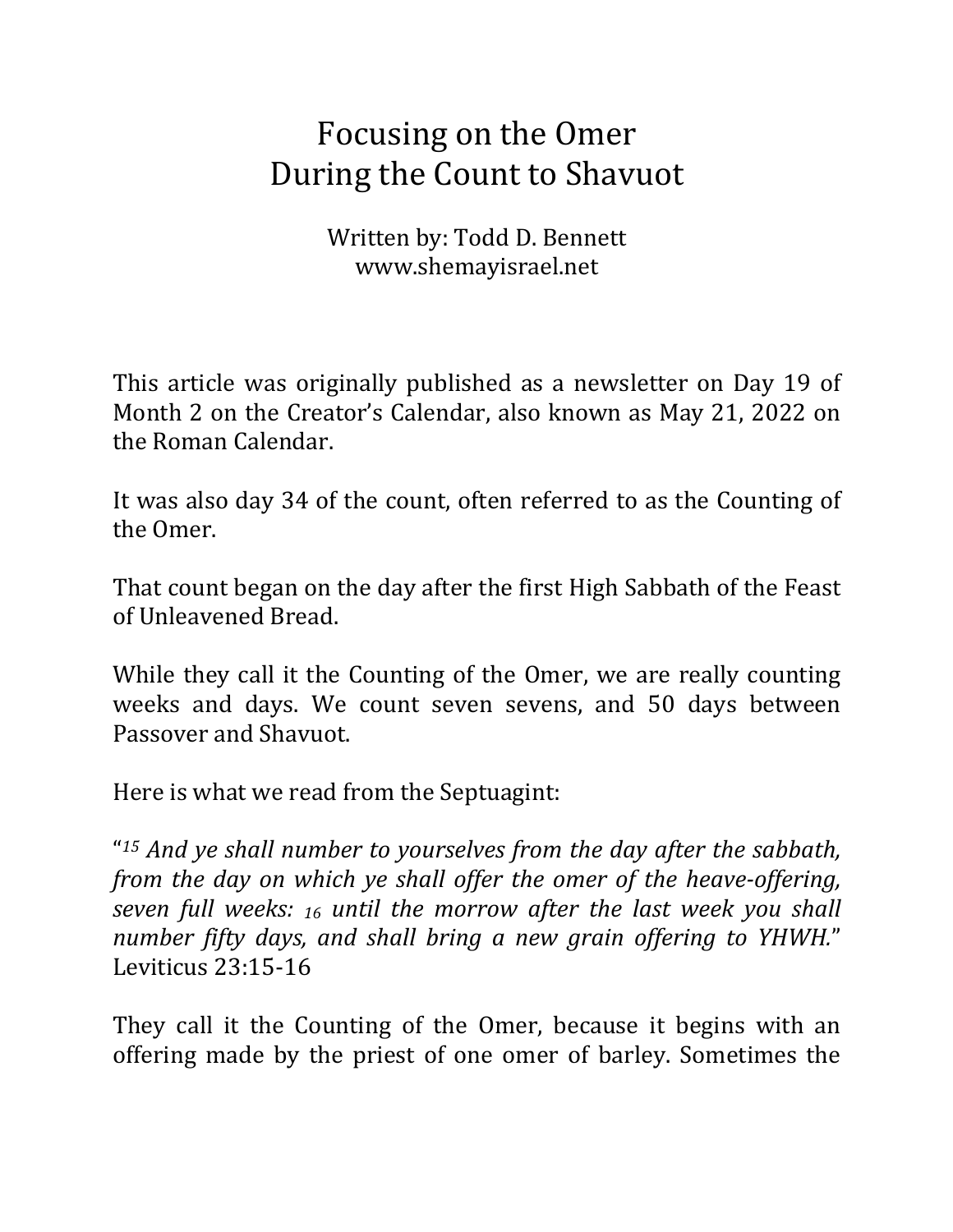## Focusing on the Omer During the Count to Shavuot

Written by: Todd D. Bennett www.shemayisrael.net

This article was originally published as a newsletter on Day 19 of Month 2 on the Creator's Calendar, also known as May 21, 2022 on the Roman Calendar.

It was also day 34 of the count, often referred to as the Counting of the Omer.

That count began on the day after the first High Sabbath of the Feast of Unleavened Bread.

While they call it the Counting of the Omer, we are really counting weeks and days. We count seven sevens, and 50 days between Passover and Shavuot.

Here is what we read from the Septuagint:

"<sup>15</sup> And ye shall number to yourselves from the day after the sabbath, *from the day on which ye shall offer the omer of the heave-offering, seven full weeks: 16 until the morrow after the last week you shall number fifty days, and shall bring a new grain offering to YHWH.*" Leviticus 23:15-16

They call it the Counting of the Omer, because it begins with an offering made by the priest of one omer of barley. Sometimes the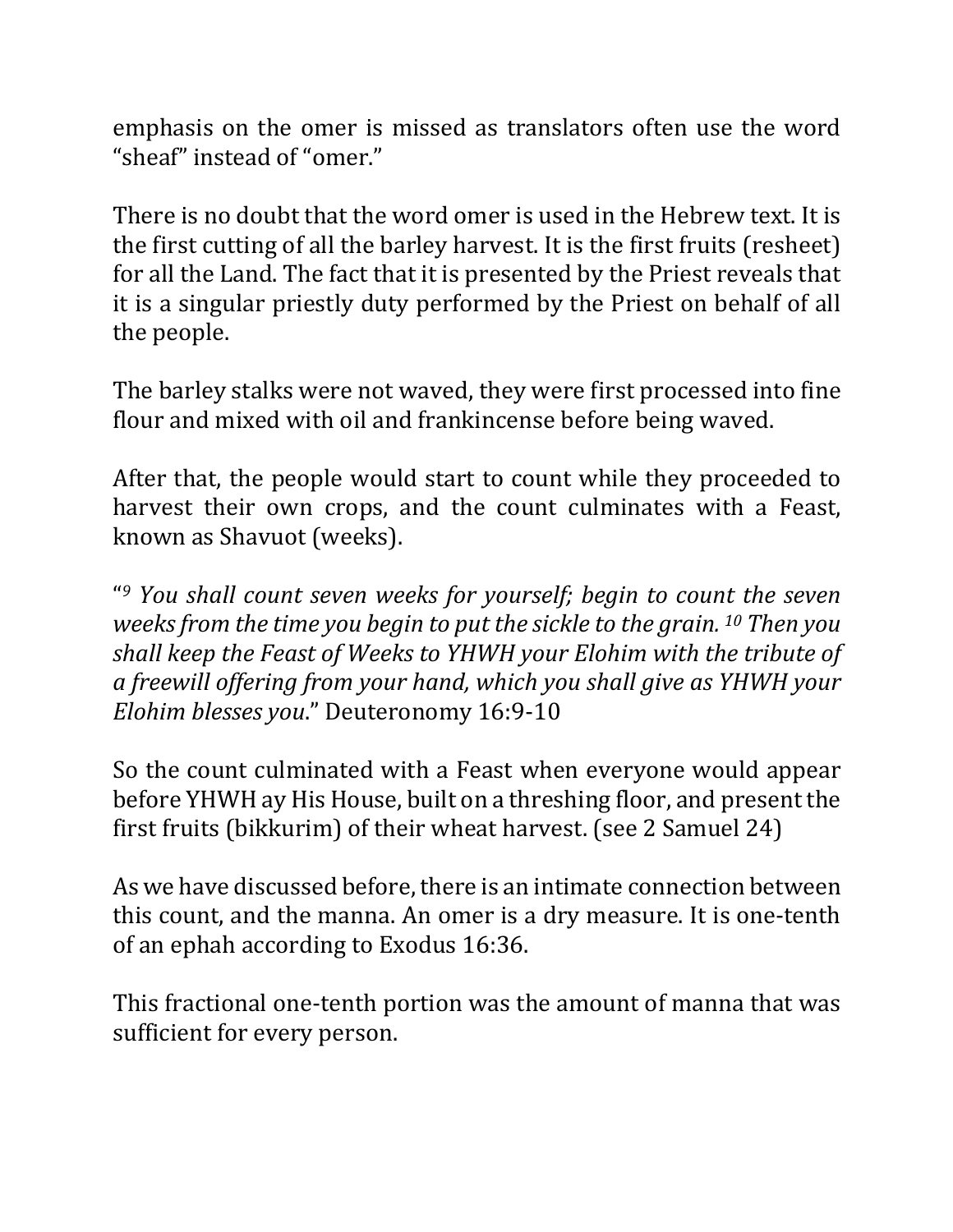emphasis on the omer is missed as translators often use the word "sheaf" instead of "omer."

There is no doubt that the word omer is used in the Hebrew text. It is the first cutting of all the barley harvest. It is the first fruits (resheet) for all the Land. The fact that it is presented by the Priest reveals that it is a singular priestly duty performed by the Priest on behalf of all the people.

The barley stalks were not waved, they were first processed into fine flour and mixed with oil and frankincense before being waved.

After that, the people would start to count while they proceeded to harvest their own crops, and the count culminates with a Feast, known as Shavuot (weeks).

"<sup>9</sup> You shall count seven weeks for yourself; begin to count the seven *weeks from the time you begin to put the sickle to the grain.* <sup>10</sup> *Then you* shall keep the Feast of Weeks to YHWH your Elohim with the tribute of *a freewill offering from your hand, which you shall give as YHWH your Elohim blesses you.*" Deuteronomy 16:9-10

So the count culminated with a Feast when everyone would appear before YHWH ay His House, built on a threshing floor, and present the first fruits (bikkurim) of their wheat harvest. (see 2 Samuel 24)

As we have discussed before, there is an intimate connection between this count, and the manna. An omer is a dry measure. It is one-tenth of an ephah according to Exodus 16:36.

This fractional one-tenth portion was the amount of manna that was sufficient for every person.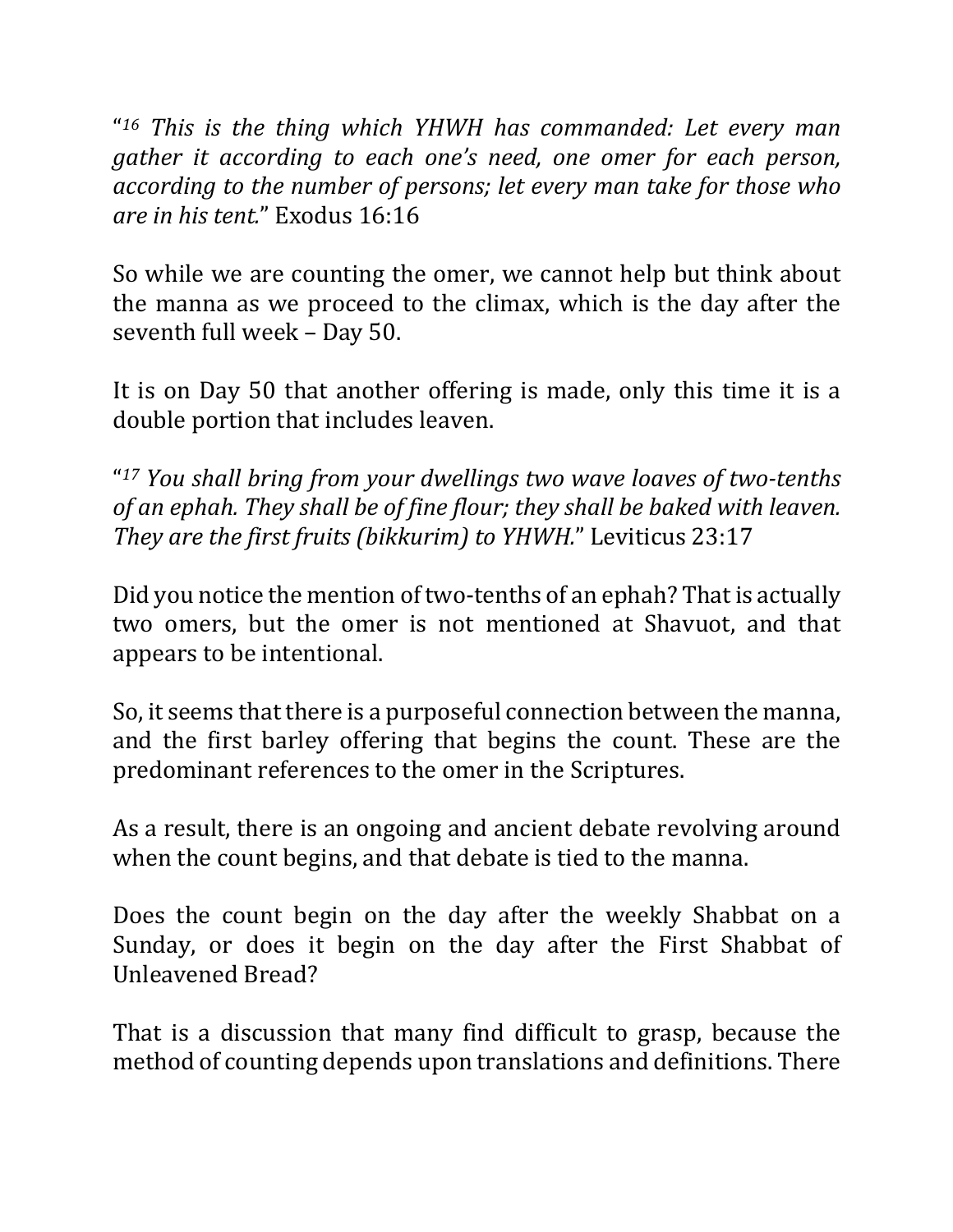"<sup>16</sup> This is the thing which YHWH has commanded: Let every man *gather it according to each one's need, one omer for each person,* according to the number of persons; let every man take for those who *are in his tent.*" Exodus 16:16

So while we are counting the omer, we cannot help but think about the manna as we proceed to the climax, which is the day after the seventh full week - Day 50.

It is on Day 50 that another offering is made, only this time it is a double portion that includes leaven.

"<sup>17</sup> You shall bring from your dwellings two wave loaves of two-tenths *of an ephah. They shall be of fine flour; they shall be baked with leaven. They are the first fruits (bikkurim)* to *YHWH.*" Leviticus 23:17

Did you notice the mention of two-tenths of an ephah? That is actually two omers, but the omer is not mentioned at Shavuot, and that appears to be intentional.

So, it seems that there is a purposeful connection between the manna, and the first barley offering that begins the count. These are the predominant references to the omer in the Scriptures.

As a result, there is an ongoing and ancient debate revolving around when the count begins, and that debate is tied to the manna.

Does the count begin on the day after the weekly Shabbat on a Sunday, or does it begin on the day after the First Shabbat of Unleavened Bread?

That is a discussion that many find difficult to grasp, because the method of counting depends upon translations and definitions. There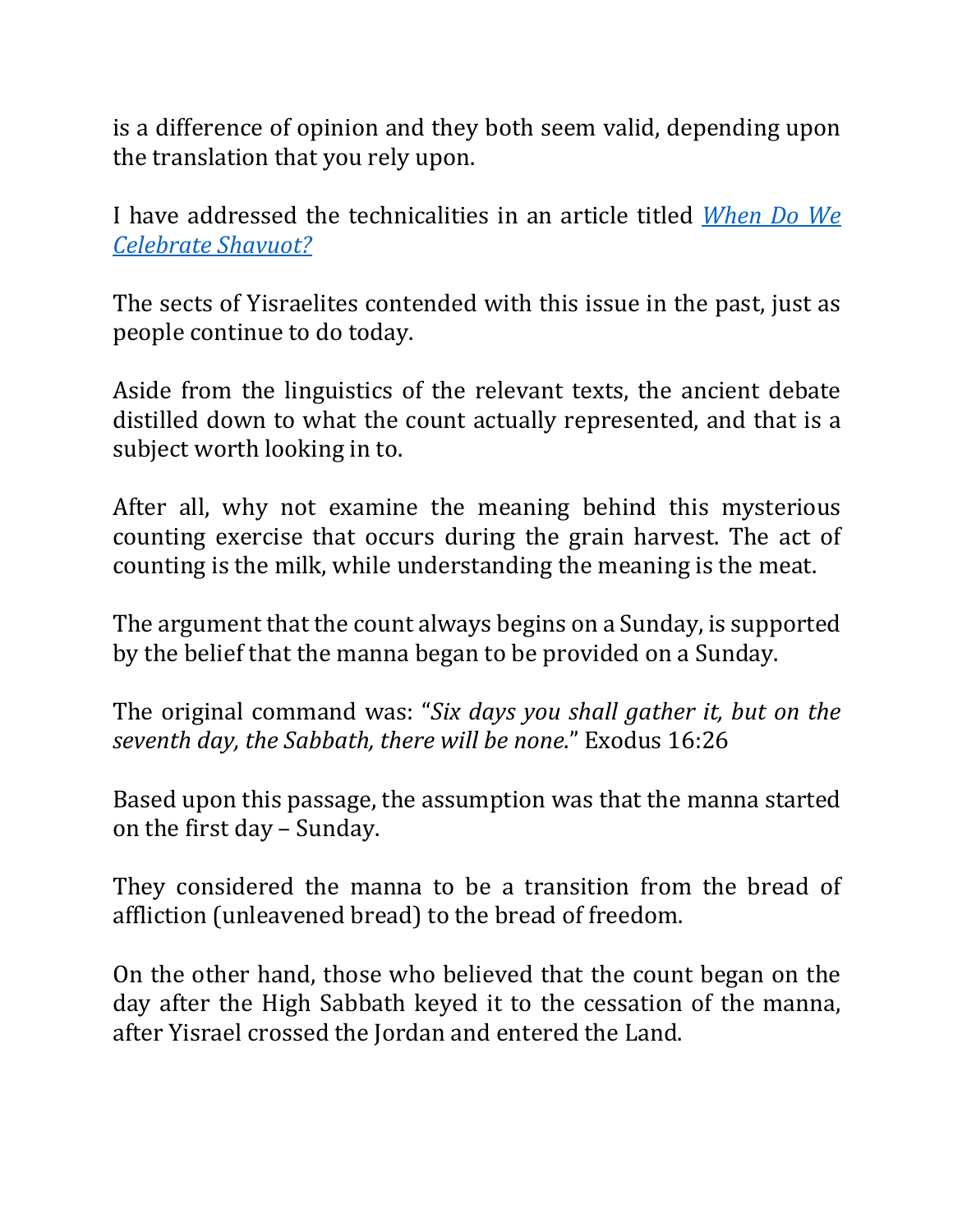is a difference of opinion and they both seem valid, depending upon the translation that you rely upon.

I have addressed the technicalities in an article titled *When Do We Celebrate Shavuot?*

The sects of Yisraelites contended with this issue in the past, just as people continue to do today.

Aside from the linguistics of the relevant texts, the ancient debate distilled down to what the count actually represented, and that is a subject worth looking in to.

After all, why not examine the meaning behind this mysterious counting exercise that occurs during the grain harvest. The act of counting is the milk, while understanding the meaning is the meat.

The argument that the count always begins on a Sunday, is supported by the belief that the manna began to be provided on a Sunday.

The original command was: "*Six days you shall gather it, but on the* seventh day, the Sabbath, there will be none." Exodus 16:26

Based upon this passage, the assumption was that the manna started on the first day - Sunday.

They considered the manna to be a transition from the bread of affliction (unleavened bread) to the bread of freedom.

On the other hand, those who believed that the count began on the day after the High Sabbath keyed it to the cessation of the manna, after Yisrael crossed the Jordan and entered the Land.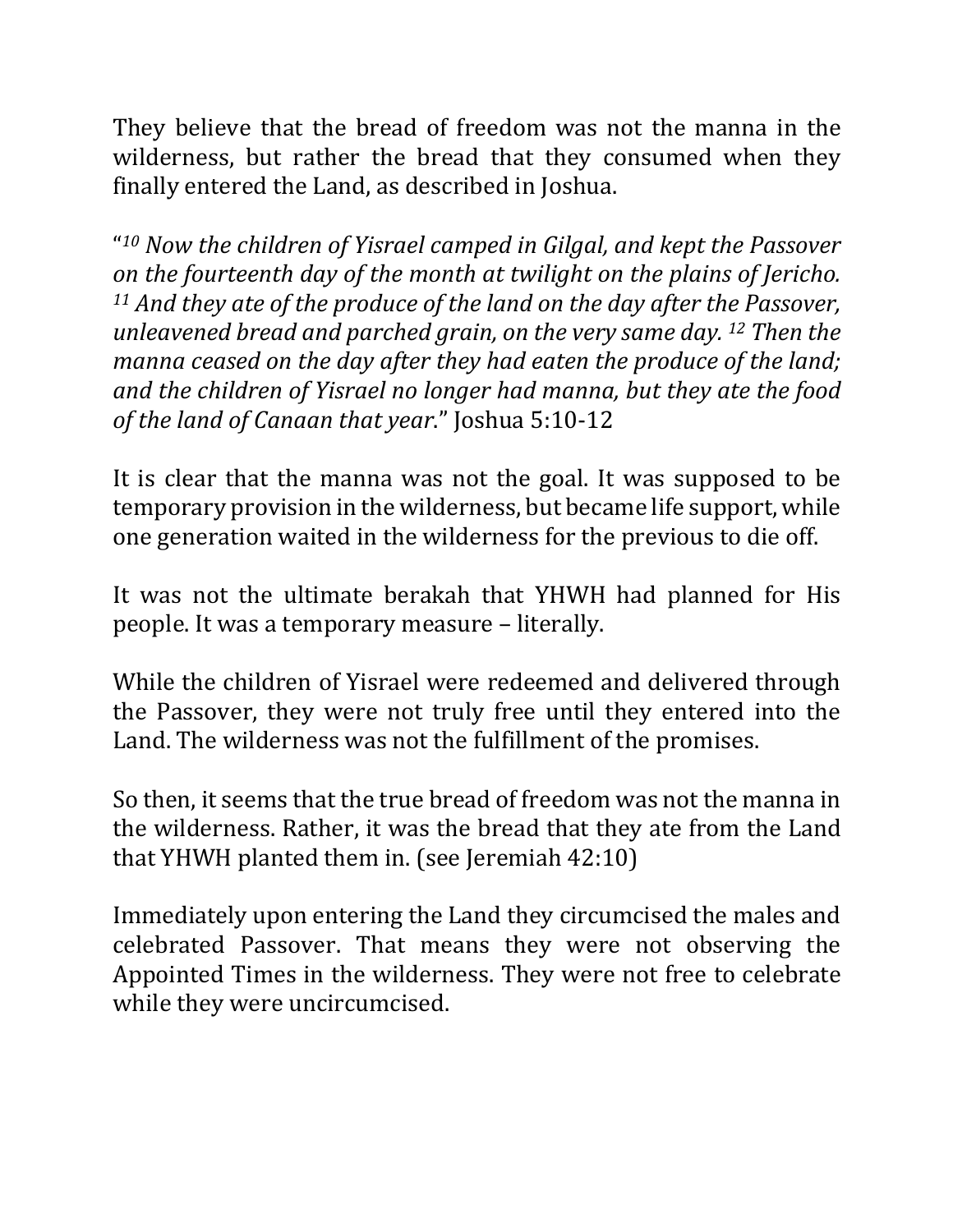They believe that the bread of freedom was not the manna in the wilderness, but rather the bread that they consumed when they finally entered the Land, as described in Joshua.

"<sup>10</sup> Now the children of Yisrael camped in Gilgal, and kept the Passover *on the fourteenth day of the month at twilight on the plains of Jericho.* <sup>11</sup> And they ate of the produce of the land on the day after the Passover, *unleavened bread and parched grain, on the very same day.* <sup>12</sup> *Then the manna ceased on the day after they had eaten the produce of the land;* and the children of Yisrael no longer had manna, but they ate the food *of the land of Canaan that year.*" Joshua 5:10-12

It is clear that the manna was not the goal. It was supposed to be temporary provision in the wilderness, but became life support, while one generation waited in the wilderness for the previous to die off.

It was not the ultimate berakah that YHWH had planned for His people. It was a temporary measure - literally.

While the children of Yisrael were redeemed and delivered through the Passover, they were not truly free until they entered into the Land. The wilderness was not the fulfillment of the promises.

So then, it seems that the true bread of freedom was not the manna in the wilderness. Rather, it was the bread that they ate from the Land that YHWH planted them in. (see Jeremiah  $42:10$ )

Immediately upon entering the Land they circumcised the males and celebrated Passover. That means they were not observing the Appointed Times in the wilderness. They were not free to celebrate while they were uncircumcised.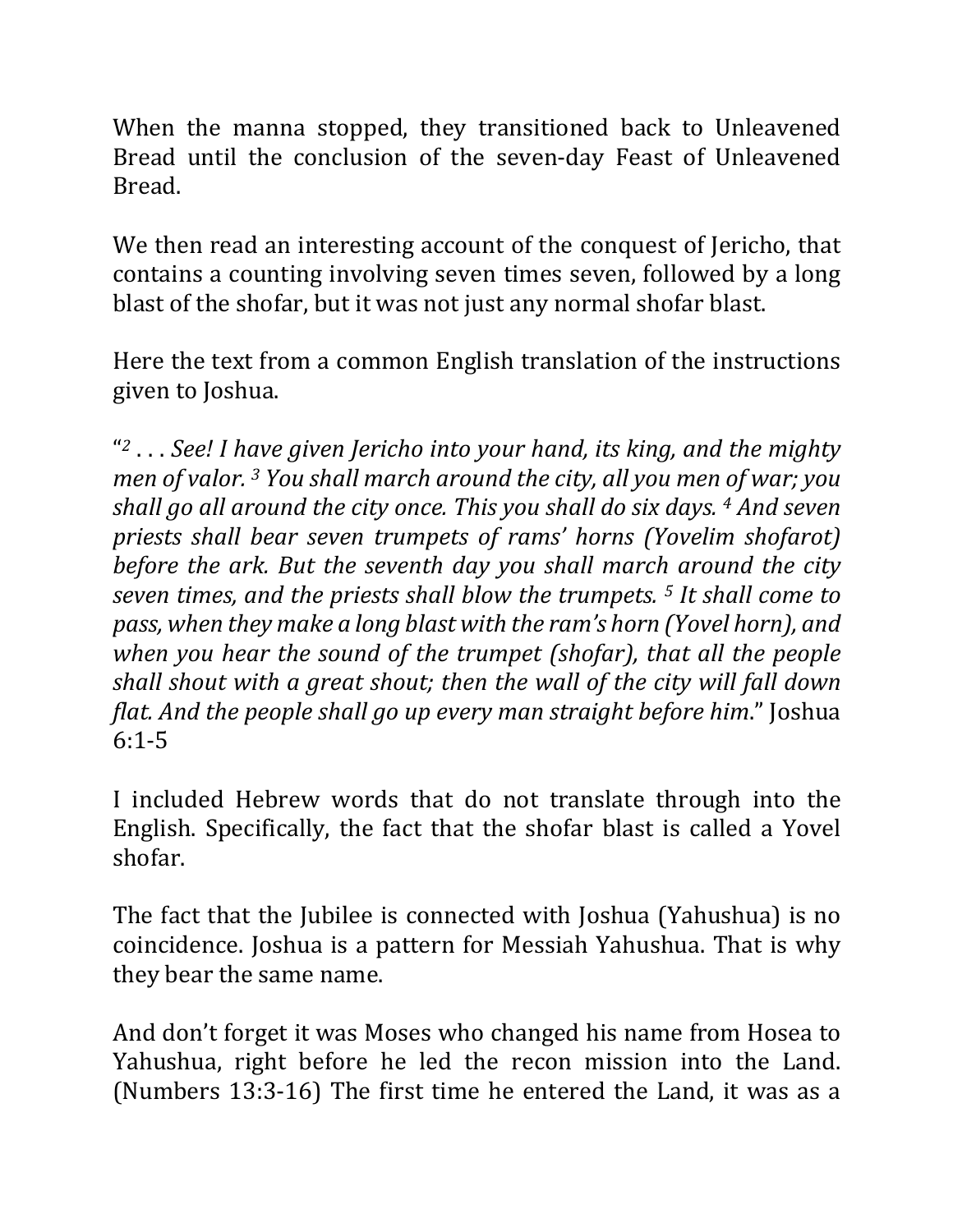When the manna stopped, they transitioned back to Unleavened Bread until the conclusion of the seven-day Feast of Unleavened Bread.

We then read an interesting account of the conquest of Jericho, that contains a counting involving seven times seven, followed by a long blast of the shofar, but it was not just any normal shofar blast.

Here the text from a common English translation of the instructions given to Joshua.

"<sup>2</sup> . . . See! I have given Jericho into your hand, its king, and the mighty *men of valor.* <sup>3</sup> *You shall march around the city, all you men of war; you shall go all around the city once. This you shall do six days.* <sup>4</sup> *And seven* priests shall bear seven trumpets of rams' horns (Yovelim shofarot) *before the ark. But the seventh day you shall march around the city seven times, and the priests shall blow the trumpets.* <sup>5</sup> *It shall come to pass,* when they make a long blast with the ram's horn (Yovel horn), and *when* you hear the sound of the trumpet (shofar), that all the people shall shout with a great shout; then the wall of the city will fall down *flat. And the people shall go up every man straight before him.*" *Joshua* 6:1-5

I included Hebrew words that do not translate through into the English. Specifically, the fact that the shofar blast is called a Yovel shofar.

The fact that the Jubilee is connected with Joshua (Yahushua) is no coincidence. Joshua is a pattern for Messiah Yahushua. That is why they bear the same name.

And don't forget it was Moses who changed his name from Hosea to Yahushua, right before he led the recon mission into the Land. (Numbers 13:3-16) The first time he entered the Land, it was as a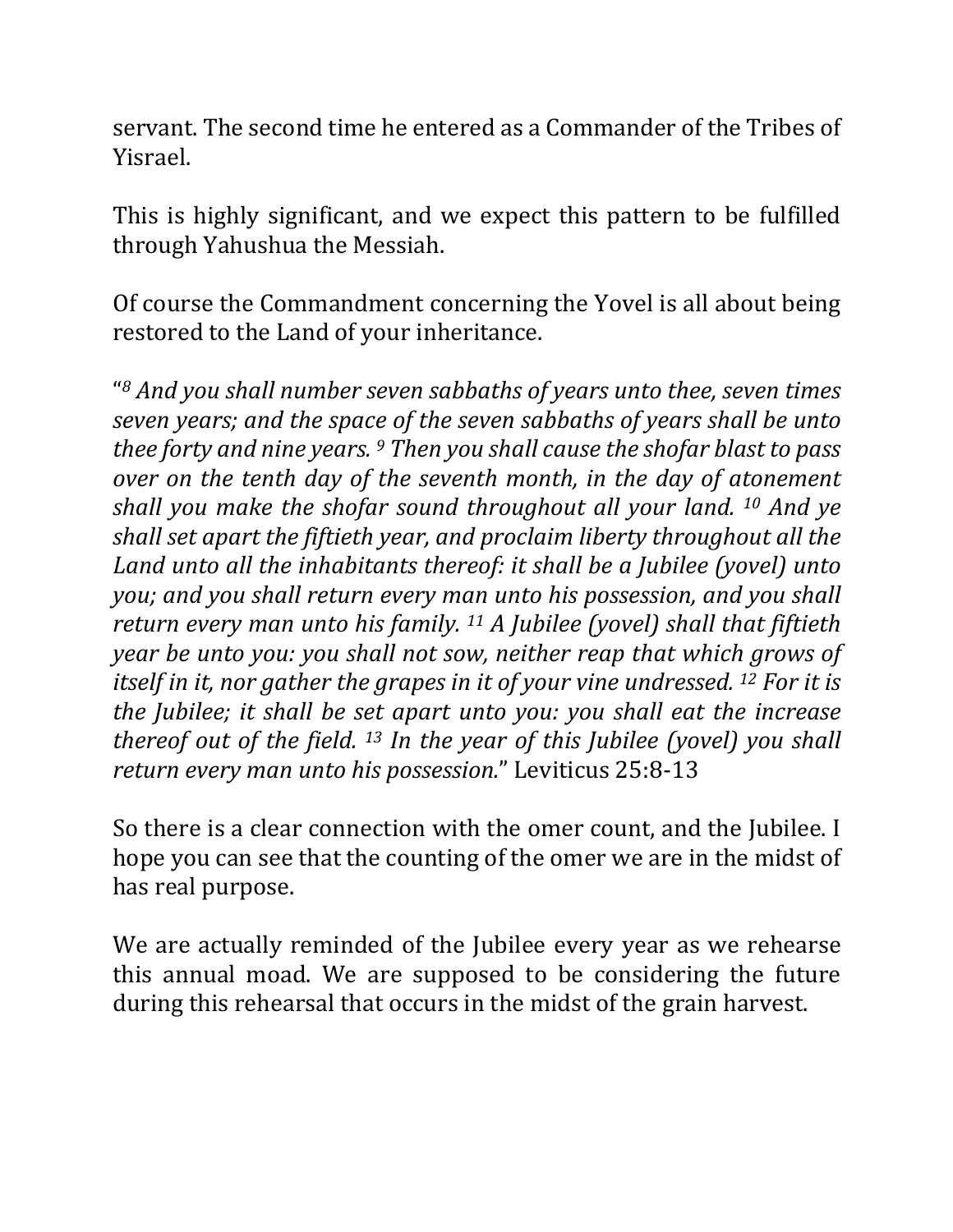servant. The second time he entered as a Commander of the Tribes of Yisrael.

This is highly significant, and we expect this pattern to be fulfilled through Yahushua the Messiah.

Of course the Commandment concerning the Yovel is all about being restored to the Land of your inheritance.

"<sup>8</sup> And you shall number seven sabbaths of years unto thee, seven times *seven years;* and the space of the seven sabbaths of years shall be unto *thee forty and nine years.* <sup>9</sup> *Then you shall cause the shofar blast to pass over* on the tenth day of the seventh month, in the day of atonement *shall you make the shofar sound throughout all your land.* <sup>10</sup> *And ye shall set apart the fiftieth year, and proclaim liberty throughout all the Land unto all the inhabitants thereof: it shall be a Jubilee (yovel) unto you;* and you shall return every man unto his possession, and you shall *return every man unto his family.* <sup>11</sup> *A Jubilee* (yovel) shall that fiftieth *year be unto you: you shall not sow, neither reap that which grows of itself in it, nor gather the grapes in it of your vine undressed.* <sup>12</sup> *For it is the Jubilee; it shall be set apart unto you: you shall eat the increase thereof out of the field.* <sup>13</sup> In the year of this Jubilee (yovel) you shall *return every man unto his possession.*" Leviticus 25:8-13

So there is a clear connection with the omer count, and the Jubilee. I hope you can see that the counting of the omer we are in the midst of has real purpose.

We are actually reminded of the Jubilee every year as we rehearse this annual moad. We are supposed to be considering the future during this rehearsal that occurs in the midst of the grain harvest.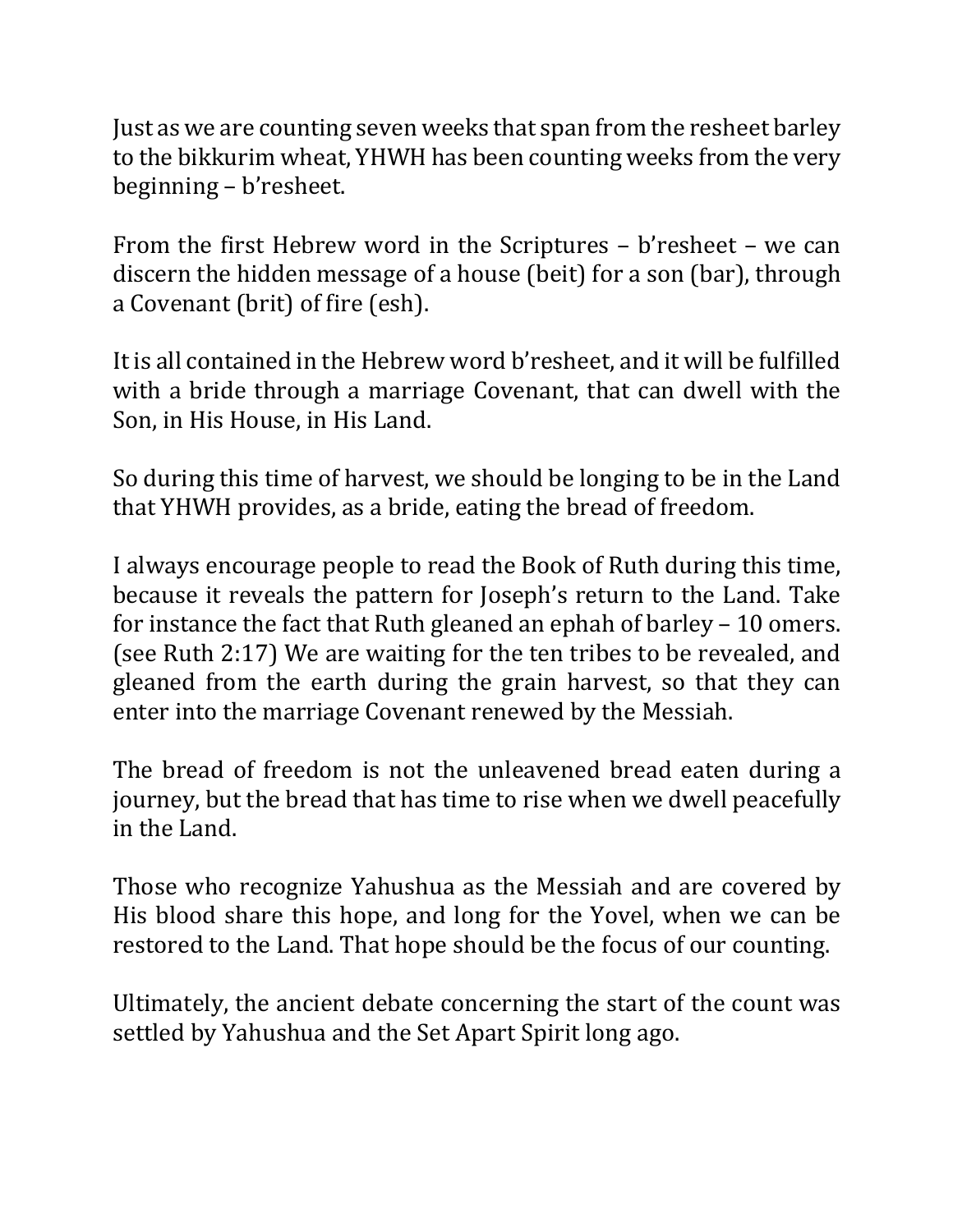Just as we are counting seven weeks that span from the resheet barley to the bikkurim wheat, YHWH has been counting weeks from the very beginning – b'resheet.

From the first Hebrew word in the Scriptures  $-$  b'resheet  $-$  we can discern the hidden message of a house (beit) for a son (bar), through a Covenant (brit) of fire (esh).

It is all contained in the Hebrew word b'resheet, and it will be fulfilled with a bride through a marriage Covenant, that can dwell with the Son, in His House, in His Land.

So during this time of harvest, we should be longing to be in the Land that YHWH provides, as a bride, eating the bread of freedom.

I always encourage people to read the Book of Ruth during this time, because it reveals the pattern for Joseph's return to the Land. Take for instance the fact that Ruth gleaned an ephah of barley  $-10$  omers. (see Ruth 2:17) We are waiting for the ten tribes to be revealed, and gleaned from the earth during the grain harvest, so that they can enter into the marriage Covenant renewed by the Messiah.

The bread of freedom is not the unleavened bread eaten during a journey, but the bread that has time to rise when we dwell peacefully in the Land.

Those who recognize Yahushua as the Messiah and are covered by His blood share this hope, and long for the Yovel, when we can be restored to the Land. That hope should be the focus of our counting.

Ultimately, the ancient debate concerning the start of the count was settled by Yahushua and the Set Apart Spirit long ago.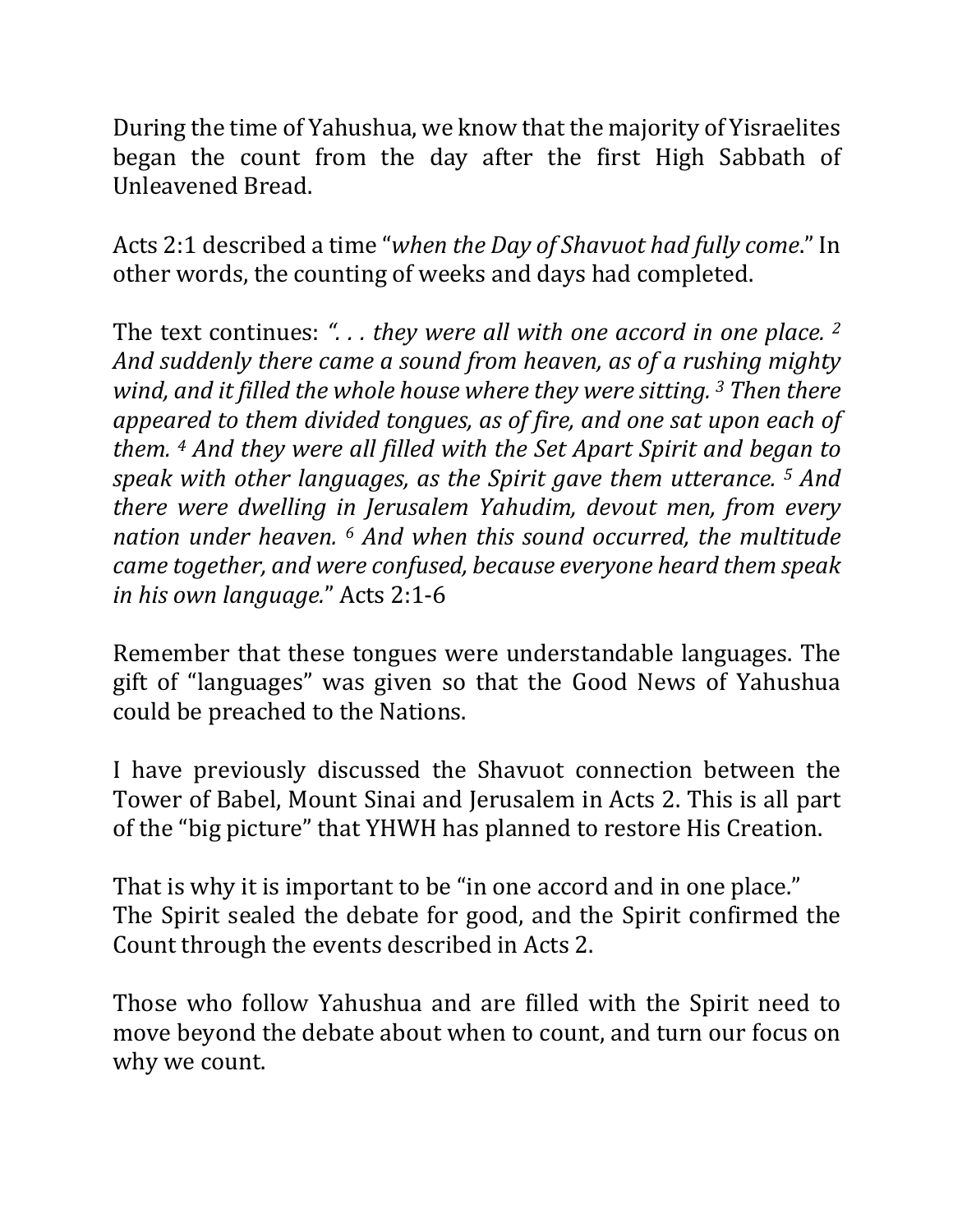During the time of Yahushua, we know that the majority of Yisraelites began the count from the day after the first High Sabbath of Unleavened Bread.

Acts 2:1 described a time "when the Day of Shavuot had fully come." In other words, the counting of weeks and days had completed.

The text continues: "... they were all with one accord in one place. <sup>2</sup> And suddenly there came a sound from heaven, as of a rushing mighty *wind, and it filled the whole house where they were sitting.* 3 *Then there appeared to them divided tongues, as of fire, and one sat upon each of them.* <sup>4</sup> *And they were all filled with the Set Apart Spirit and began to speak with other languages, as the Spirit gave them utterance.* <sup>5</sup> *And there* were dwelling in Jerusalem Yahudim, devout men, from every *nation under heaven.* <sup>6</sup> *And when this sound occurred, the multitude came together, and were confused, because everyone heard them speak in his own language.*" Acts 2:1-6

Remember that these tongues were understandable languages. The gift of "languages" was given so that the Good News of Yahushua could be preached to the Nations.

I have previously discussed the Shavuot connection between the Tower of Babel, Mount Sinai and Jerusalem in Acts 2. This is all part of the "big picture" that YHWH has planned to restore His Creation.

That is why it is important to be "in one accord and in one place." The Spirit sealed the debate for good, and the Spirit confirmed the Count through the events described in Acts 2.

Those who follow Yahushua and are filled with the Spirit need to move beyond the debate about when to count, and turn our focus on why we count.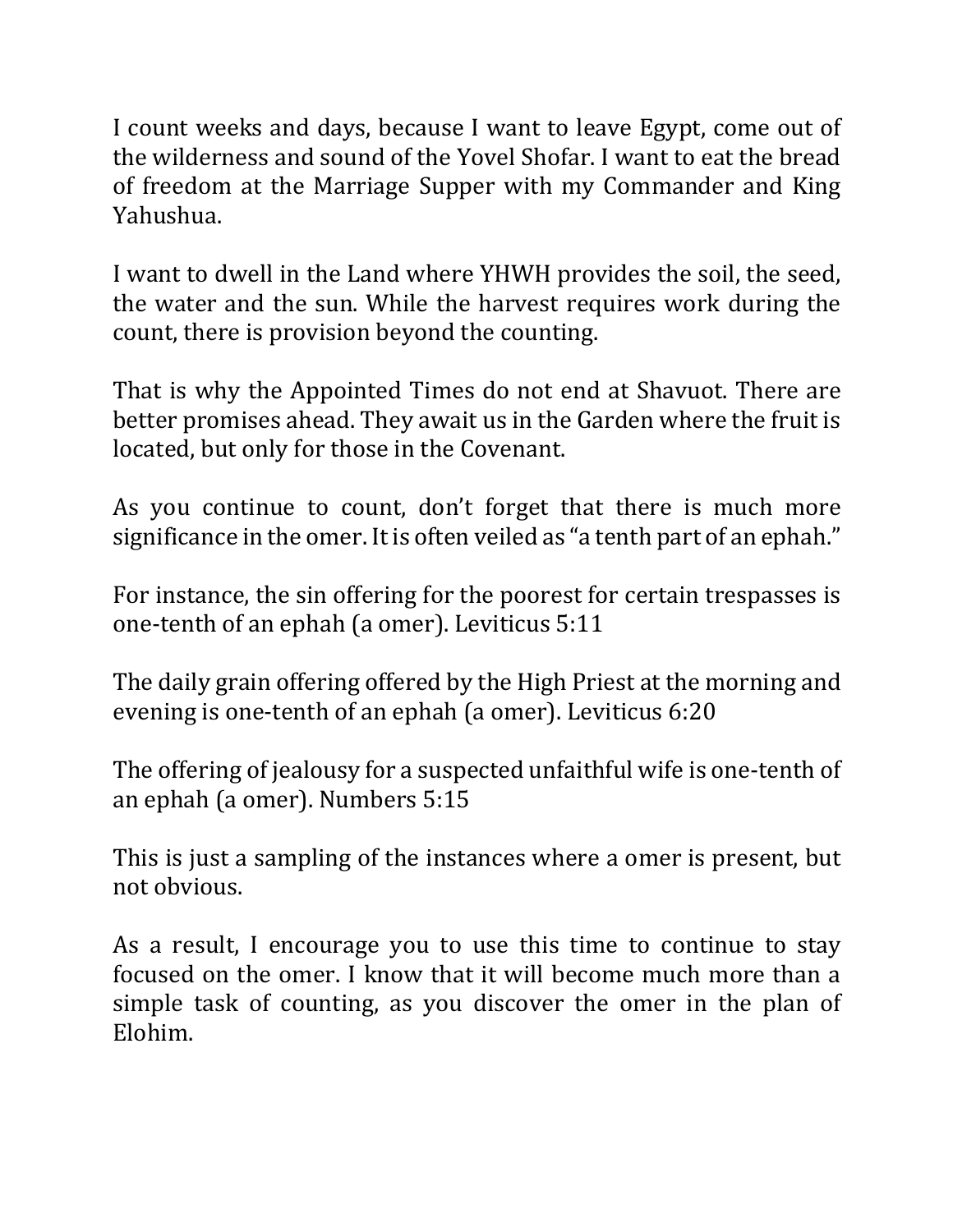I count weeks and days, because I want to leave Egypt, come out of the wilderness and sound of the Yovel Shofar. I want to eat the bread of freedom at the Marriage Supper with my Commander and King Yahushua.

I want to dwell in the Land where YHWH provides the soil, the seed, the water and the sun. While the harvest requires work during the count, there is provision beyond the counting.

That is why the Appointed Times do not end at Shavuot. There are better promises ahead. They await us in the Garden where the fruit is located, but only for those in the Covenant.

As you continue to count, don't forget that there is much more significance in the omer. It is often veiled as "a tenth part of an ephah."

For instance, the sin offering for the poorest for certain trespasses is one-tenth of an ephah (a omer). Leviticus 5:11

The daily grain offering offered by the High Priest at the morning and evening is one-tenth of an ephah (a omer). Leviticus 6:20

The offering of jealousy for a suspected unfaithful wife is one-tenth of an ephah (a omer). Numbers 5:15

This is just a sampling of the instances where a omer is present, but not obvious.

As a result, I encourage you to use this time to continue to stay focused on the omer. I know that it will become much more than a simple task of counting, as you discover the omer in the plan of Elohim.